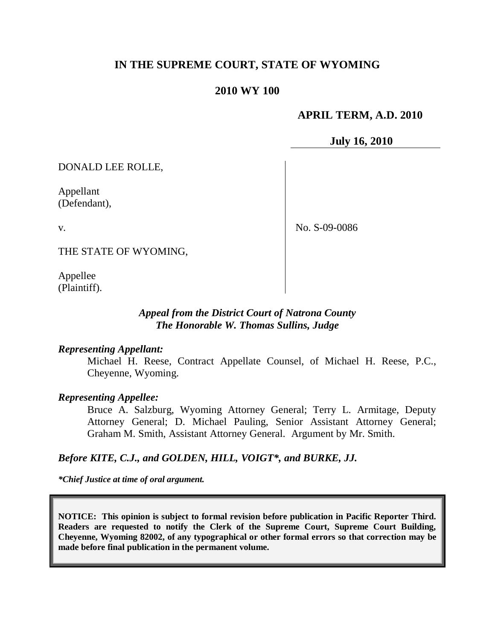## **IN THE SUPREME COURT, STATE OF WYOMING**

#### **2010 WY 100**

#### **APRIL TERM, A.D. 2010**

**July 16, 2010**

DONALD LEE ROLLE,

Appellant (Defendant),

v.

No. S-09-0086

THE STATE OF WYOMING,

Appellee (Plaintiff).

#### *Appeal from the District Court of Natrona County The Honorable W. Thomas Sullins, Judge*

#### *Representing Appellant:*

Michael H. Reese, Contract Appellate Counsel, of Michael H. Reese, P.C., Cheyenne, Wyoming.

#### *Representing Appellee:*

Bruce A. Salzburg, Wyoming Attorney General; Terry L. Armitage, Deputy Attorney General; D. Michael Pauling, Senior Assistant Attorney General; Graham M. Smith, Assistant Attorney General. Argument by Mr. Smith.

#### *Before KITE, C.J., and GOLDEN, HILL, VOIGT\*, and BURKE, JJ.*

*\*Chief Justice at time of oral argument.*

**NOTICE: This opinion is subject to formal revision before publication in Pacific Reporter Third. Readers are requested to notify the Clerk of the Supreme Court, Supreme Court Building, Cheyenne, Wyoming 82002, of any typographical or other formal errors so that correction may be made before final publication in the permanent volume.**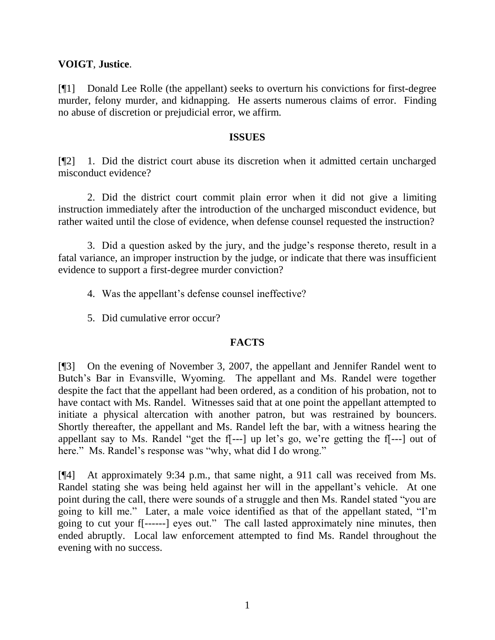#### **VOIGT**, **Justice**.

[¶1] Donald Lee Rolle (the appellant) seeks to overturn his convictions for first-degree murder, felony murder, and kidnapping. He asserts numerous claims of error. Finding no abuse of discretion or prejudicial error, we affirm.

#### **ISSUES**

[¶2] 1. Did the district court abuse its discretion when it admitted certain uncharged misconduct evidence?

2. Did the district court commit plain error when it did not give a limiting instruction immediately after the introduction of the uncharged misconduct evidence, but rather waited until the close of evidence, when defense counsel requested the instruction?

3. Did a question asked by the jury, and the judge"s response thereto, result in a fatal variance, an improper instruction by the judge, or indicate that there was insufficient evidence to support a first-degree murder conviction?

- 4. Was the appellant"s defense counsel ineffective?
- 5. Did cumulative error occur?

#### **FACTS**

[¶3] On the evening of November 3, 2007, the appellant and Jennifer Randel went to Butch"s Bar in Evansville, Wyoming. The appellant and Ms. Randel were together despite the fact that the appellant had been ordered, as a condition of his probation, not to have contact with Ms. Randel. Witnesses said that at one point the appellant attempted to initiate a physical altercation with another patron, but was restrained by bouncers. Shortly thereafter, the appellant and Ms. Randel left the bar, with a witness hearing the appellant say to Ms. Randel "get the  $f$ ---] up let's go, we're getting the  $f$ ---] out of here." Ms. Randel's response was "why, what did I do wrong."

[¶4] At approximately 9:34 p.m., that same night, a 911 call was received from Ms. Randel stating she was being held against her will in the appellant"s vehicle. At one point during the call, there were sounds of a struggle and then Ms. Randel stated "you are going to kill me." Later, a male voice identified as that of the appellant stated, "I"m going to cut your f[------] eyes out." The call lasted approximately nine minutes, then ended abruptly. Local law enforcement attempted to find Ms. Randel throughout the evening with no success.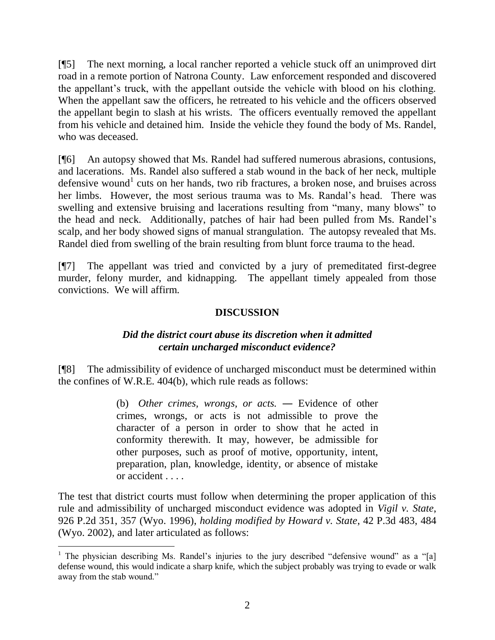[¶5] The next morning, a local rancher reported a vehicle stuck off an unimproved dirt road in a remote portion of Natrona County. Law enforcement responded and discovered the appellant"s truck, with the appellant outside the vehicle with blood on his clothing. When the appellant saw the officers, he retreated to his vehicle and the officers observed the appellant begin to slash at his wrists. The officers eventually removed the appellant from his vehicle and detained him. Inside the vehicle they found the body of Ms. Randel, who was deceased.

[¶6] An autopsy showed that Ms. Randel had suffered numerous abrasions, contusions, and lacerations. Ms. Randel also suffered a stab wound in the back of her neck, multiple defensive wound<sup>1</sup> cuts on her hands, two rib fractures, a broken nose, and bruises across her limbs. However, the most serious trauma was to Ms. Randal"s head. There was swelling and extensive bruising and lacerations resulting from "many, many blows" to the head and neck. Additionally, patches of hair had been pulled from Ms. Randel"s scalp, and her body showed signs of manual strangulation. The autopsy revealed that Ms. Randel died from swelling of the brain resulting from blunt force trauma to the head.

[¶7] The appellant was tried and convicted by a jury of premeditated first-degree murder, felony murder, and kidnapping. The appellant timely appealed from those convictions. We will affirm.

## **DISCUSSION**

### *Did the district court abuse its discretion when it admitted certain uncharged misconduct evidence?*

[¶8] The admissibility of evidence of uncharged misconduct must be determined within the confines of W.R.E. 404(b), which rule reads as follows:

> (b) *Other crimes, wrongs, or acts. ―* Evidence of other crimes, wrongs, or acts is not admissible to prove the character of a person in order to show that he acted in conformity therewith. It may, however, be admissible for other purposes, such as proof of motive, opportunity, intent, preparation, plan, knowledge, identity, or absence of mistake or accident . . . .

The test that district courts must follow when determining the proper application of this rule and admissibility of uncharged misconduct evidence was adopted in *Vigil v. State*, 926 P.2d 351, 357 (Wyo. 1996), *holding modified by Howard v. State*, 42 P.3d 483, 484 (Wyo. 2002), and later articulated as follows:

 $\overline{a}$ 

<sup>&</sup>lt;sup>1</sup> The physician describing Ms. Randel's injuries to the jury described "defensive wound" as a "[a] defense wound, this would indicate a sharp knife, which the subject probably was trying to evade or walk away from the stab wound."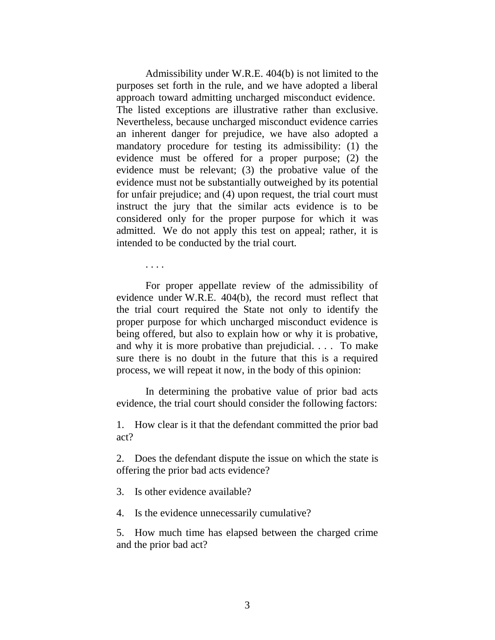Admissibility under W.R.E. 404(b) is not limited to the purposes set forth in the rule, and we have adopted a liberal approach toward admitting uncharged misconduct evidence. The listed exceptions are illustrative rather than exclusive. Nevertheless, because uncharged misconduct evidence carries an inherent danger for prejudice, we have also adopted a mandatory procedure for testing its admissibility: (1) the evidence must be offered for a proper purpose; (2) the evidence must be relevant; (3) the probative value of the evidence must not be substantially outweighed by its potential for unfair prejudice; and (4) upon request, the trial court must instruct the jury that the similar acts evidence is to be considered only for the proper purpose for which it was admitted. We do not apply this test on appeal; rather, it is intended to be conducted by the trial court.

. . . .

For proper appellate review of the admissibility of evidence under W.R.E. 404(b), the record must reflect that the trial court required the State not only to identify the proper purpose for which uncharged misconduct evidence is being offered, but also to explain how or why it is probative, and why it is more probative than prejudicial. . . . To make sure there is no doubt in the future that this is a required process, we will repeat it now, in the body of this opinion:

In determining the probative value of prior bad acts evidence, the trial court should consider the following factors:

1. How clear is it that the defendant committed the prior bad act?

2. Does the defendant dispute the issue on which the state is offering the prior bad acts evidence?

3. Is other evidence available?

4. Is the evidence unnecessarily cumulative?

5. How much time has elapsed between the charged crime and the prior bad act?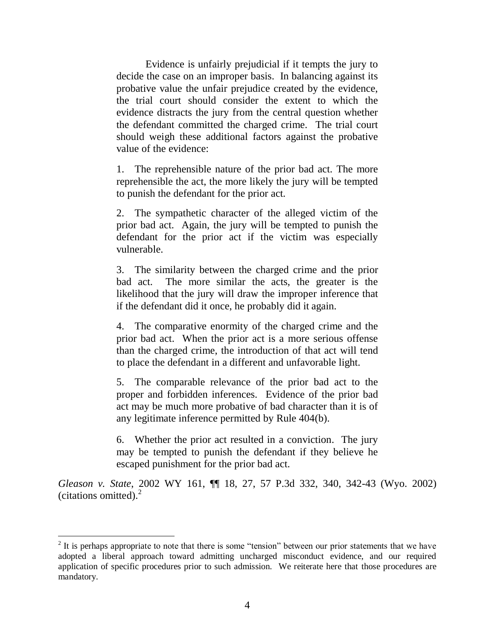Evidence is unfairly prejudicial if it tempts the jury to decide the case on an improper basis. In balancing against its probative value the unfair prejudice created by the evidence, the trial court should consider the extent to which the evidence distracts the jury from the central question whether the defendant committed the charged crime. The trial court should weigh these additional factors against the probative value of the evidence:

1. The reprehensible nature of the prior bad act. The more reprehensible the act, the more likely the jury will be tempted to punish the defendant for the prior act.

2. The sympathetic character of the alleged victim of the prior bad act. Again, the jury will be tempted to punish the defendant for the prior act if the victim was especially vulnerable.

3. The similarity between the charged crime and the prior bad act. The more similar the acts, the greater is the likelihood that the jury will draw the improper inference that if the defendant did it once, he probably did it again.

4. The comparative enormity of the charged crime and the prior bad act. When the prior act is a more serious offense than the charged crime, the introduction of that act will tend to place the defendant in a different and unfavorable light.

5. The comparable relevance of the prior bad act to the proper and forbidden inferences. Evidence of the prior bad act may be much more probative of bad character than it is of any legitimate inference permitted by Rule 404(b).

6. Whether the prior act resulted in a conviction. The jury may be tempted to punish the defendant if they believe he escaped punishment for the prior bad act.

*Gleason v. State*, 2002 WY 161, ¶¶ 18, 27, 57 P.3d 332, 340, 342-43 (Wyo. 2002) (citations omitted). $^{2}$ 

 $\overline{a}$ 

 $2$  It is perhaps appropriate to note that there is some "tension" between our prior statements that we have adopted a liberal approach toward admitting uncharged misconduct evidence, and our required application of specific procedures prior to such admission. We reiterate here that those procedures are mandatory.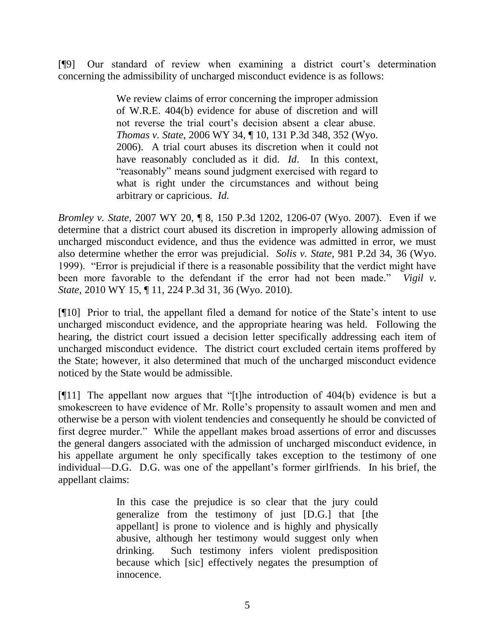[¶9] Our standard of review when examining a district court"s determination concerning the admissibility of uncharged misconduct evidence is as follows:

> We review claims of error concerning the improper admission of W.R.E. 404(b) evidence for abuse of discretion and will not reverse the trial court's decision absent a clear abuse. *Thomas v. State*, 2006 WY 34, ¶ 10, 131 P.3d 348, 352 (Wyo. 2006). A trial court abuses its discretion when it could not have reasonably concluded as it did. *Id*. In this context, "reasonably" means sound judgment exercised with regard to what is right under the circumstances and without being arbitrary or capricious. *Id*.

*Bromley v. State*, 2007 WY 20, ¶ 8, 150 P.3d 1202, 1206-07 (Wyo. 2007). Even if we determine that a district court abused its discretion in improperly allowing admission of uncharged misconduct evidence, and thus the evidence was admitted in error, we must also determine whether the error was prejudicial. *Solis v. State*, 981 P.2d 34, 36 (Wyo. 1999). "Error is prejudicial if there is a reasonable possibility that the verdict might have been more favorable to the defendant if the error had not been made." *Vigil v. State*, 2010 WY 15, ¶ 11, 224 P.3d 31, 36 (Wyo. 2010).

[¶10] Prior to trial, the appellant filed a demand for notice of the State"s intent to use uncharged misconduct evidence, and the appropriate hearing was held. Following the hearing, the district court issued a decision letter specifically addressing each item of uncharged misconduct evidence. The district court excluded certain items proffered by the State; however, it also determined that much of the uncharged misconduct evidence noticed by the State would be admissible.

[¶11] The appellant now argues that "[t]he introduction of 404(b) evidence is but a smokescreen to have evidence of Mr. Rolle"s propensity to assault women and men and otherwise be a person with violent tendencies and consequently he should be convicted of first degree murder." While the appellant makes broad assertions of error and discusses the general dangers associated with the admission of uncharged misconduct evidence, in his appellate argument he only specifically takes exception to the testimony of one individual—D.G. D.G. was one of the appellant's former girlfriends. In his brief, the appellant claims:

> In this case the prejudice is so clear that the jury could generalize from the testimony of just [D.G.] that [the appellant] is prone to violence and is highly and physically abusive, although her testimony would suggest only when drinking. Such testimony infers violent predisposition because which [sic] effectively negates the presumption of innocence.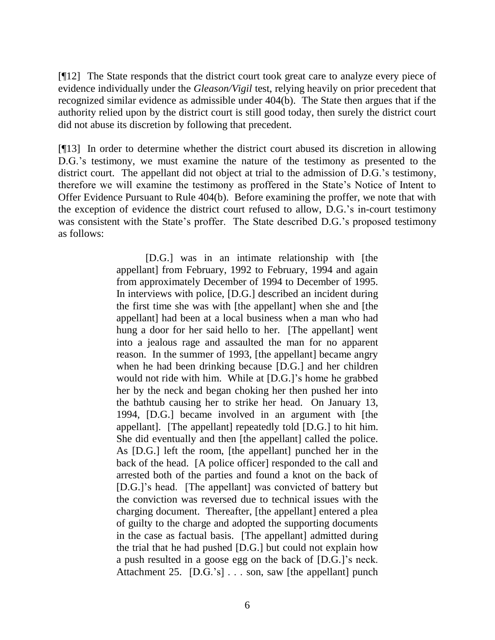[¶12] The State responds that the district court took great care to analyze every piece of evidence individually under the *Gleason/Vigil* test, relying heavily on prior precedent that recognized similar evidence as admissible under 404(b). The State then argues that if the authority relied upon by the district court is still good today, then surely the district court did not abuse its discretion by following that precedent.

[¶13] In order to determine whether the district court abused its discretion in allowing D.G.'s testimony, we must examine the nature of the testimony as presented to the district court. The appellant did not object at trial to the admission of D.G."s testimony, therefore we will examine the testimony as proffered in the State"s Notice of Intent to Offer Evidence Pursuant to Rule 404(b). Before examining the proffer, we note that with the exception of evidence the district court refused to allow, D.G."s in-court testimony was consistent with the State's proffer. The State described D.G.'s proposed testimony as follows:

> [D.G.] was in an intimate relationship with [the appellant] from February, 1992 to February, 1994 and again from approximately December of 1994 to December of 1995. In interviews with police, [D.G.] described an incident during the first time she was with [the appellant] when she and [the appellant] had been at a local business when a man who had hung a door for her said hello to her. [The appellant] went into a jealous rage and assaulted the man for no apparent reason. In the summer of 1993, [the appellant] became angry when he had been drinking because [D.G.] and her children would not ride with him. While at [D.G.]"s home he grabbed her by the neck and began choking her then pushed her into the bathtub causing her to strike her head. On January 13, 1994, [D.G.] became involved in an argument with [the appellant]. [The appellant] repeatedly told [D.G.] to hit him. She did eventually and then [the appellant] called the police. As [D.G.] left the room, [the appellant] punched her in the back of the head. [A police officer] responded to the call and arrested both of the parties and found a knot on the back of [D.G.]"s head. [The appellant] was convicted of battery but the conviction was reversed due to technical issues with the charging document. Thereafter, [the appellant] entered a plea of guilty to the charge and adopted the supporting documents in the case as factual basis. [The appellant] admitted during the trial that he had pushed [D.G.] but could not explain how a push resulted in a goose egg on the back of [D.G.]"s neck. Attachment 25. [D.G.'s] . . . son, saw [the appellant] punch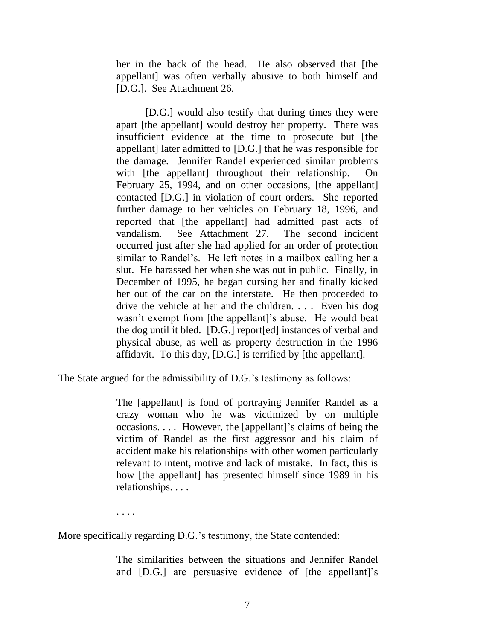her in the back of the head. He also observed that [the appellant] was often verbally abusive to both himself and [D.G.]. See Attachment 26.

[D.G.] would also testify that during times they were apart [the appellant] would destroy her property. There was insufficient evidence at the time to prosecute but [the appellant] later admitted to [D.G.] that he was responsible for the damage. Jennifer Randel experienced similar problems with [the appellant] throughout their relationship. On February 25, 1994, and on other occasions, [the appellant] contacted [D.G.] in violation of court orders. She reported further damage to her vehicles on February 18, 1996, and reported that [the appellant] had admitted past acts of vandalism. See Attachment 27. The second incident occurred just after she had applied for an order of protection similar to Randel's. He left notes in a mailbox calling her a slut. He harassed her when she was out in public. Finally, in December of 1995, he began cursing her and finally kicked her out of the car on the interstate. He then proceeded to drive the vehicle at her and the children. . . . Even his dog wasn't exempt from [the appellant]'s abuse. He would beat the dog until it bled. [D.G.] report[ed] instances of verbal and physical abuse, as well as property destruction in the 1996 affidavit. To this day, [D.G.] is terrified by [the appellant].

The State argued for the admissibility of D.G.'s testimony as follows:

The [appellant] is fond of portraying Jennifer Randel as a crazy woman who he was victimized by on multiple occasions. . . . However, the [appellant]"s claims of being the victim of Randel as the first aggressor and his claim of accident make his relationships with other women particularly relevant to intent, motive and lack of mistake. In fact, this is how [the appellant] has presented himself since 1989 in his relationships. . . .

. . . .

More specifically regarding D.G.'s testimony, the State contended:

The similarities between the situations and Jennifer Randel and [D.G.] are persuasive evidence of [the appellant]"s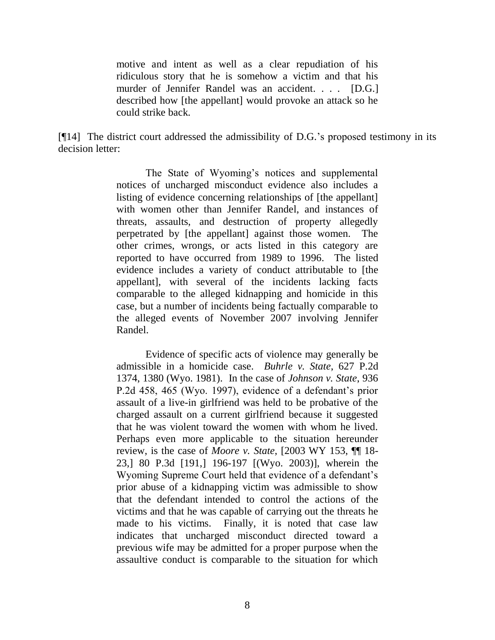motive and intent as well as a clear repudiation of his ridiculous story that he is somehow a victim and that his murder of Jennifer Randel was an accident. . . . [D.G.] described how [the appellant] would provoke an attack so he could strike back.

[¶14] The district court addressed the admissibility of D.G."s proposed testimony in its decision letter:

> The State of Wyoming's notices and supplemental notices of uncharged misconduct evidence also includes a listing of evidence concerning relationships of [the appellant] with women other than Jennifer Randel, and instances of threats, assaults, and destruction of property allegedly perpetrated by [the appellant] against those women. The other crimes, wrongs, or acts listed in this category are reported to have occurred from 1989 to 1996. The listed evidence includes a variety of conduct attributable to [the appellant], with several of the incidents lacking facts comparable to the alleged kidnapping and homicide in this case, but a number of incidents being factually comparable to the alleged events of November 2007 involving Jennifer Randel.

> Evidence of specific acts of violence may generally be admissible in a homicide case. *Buhrle v. State*, 627 P.2d 1374, 1380 (Wyo. 1981). In the case of *Johnson v. State*, 936 P.2d 458, 465 (Wyo. 1997), evidence of a defendant's prior assault of a live-in girlfriend was held to be probative of the charged assault on a current girlfriend because it suggested that he was violent toward the women with whom he lived. Perhaps even more applicable to the situation hereunder review, is the case of *Moore v. State*, [2003 WY 153, ¶¶ 18- 23,] 80 P.3d [191,] 196-197 [(Wyo. 2003)], wherein the Wyoming Supreme Court held that evidence of a defendant"s prior abuse of a kidnapping victim was admissible to show that the defendant intended to control the actions of the victims and that he was capable of carrying out the threats he made to his victims. Finally, it is noted that case law indicates that uncharged misconduct directed toward a previous wife may be admitted for a proper purpose when the assaultive conduct is comparable to the situation for which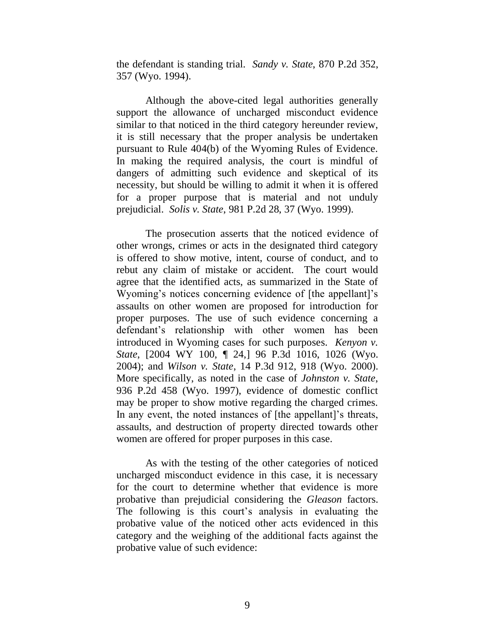the defendant is standing trial. *Sandy v. State*, 870 P.2d 352, 357 (Wyo. 1994).

Although the above-cited legal authorities generally support the allowance of uncharged misconduct evidence similar to that noticed in the third category hereunder review, it is still necessary that the proper analysis be undertaken pursuant to Rule 404(b) of the Wyoming Rules of Evidence. In making the required analysis, the court is mindful of dangers of admitting such evidence and skeptical of its necessity, but should be willing to admit it when it is offered for a proper purpose that is material and not unduly prejudicial. *Solis v. State*, 981 P.2d 28, 37 (Wyo. 1999).

The prosecution asserts that the noticed evidence of other wrongs, crimes or acts in the designated third category is offered to show motive, intent, course of conduct, and to rebut any claim of mistake or accident. The court would agree that the identified acts, as summarized in the State of Wyoming's notices concerning evidence of [the appellant]'s assaults on other women are proposed for introduction for proper purposes. The use of such evidence concerning a defendant"s relationship with other women has been introduced in Wyoming cases for such purposes. *Kenyon v. State*, [2004 WY 100, ¶ 24,] 96 P.3d 1016, 1026 (Wyo. 2004); and *Wilson v. State*, 14 P.3d 912, 918 (Wyo. 2000). More specifically, as noted in the case of *Johnston v. State*, 936 P.2d 458 (Wyo. 1997), evidence of domestic conflict may be proper to show motive regarding the charged crimes. In any event, the noted instances of [the appellant]'s threats, assaults, and destruction of property directed towards other women are offered for proper purposes in this case.

As with the testing of the other categories of noticed uncharged misconduct evidence in this case, it is necessary for the court to determine whether that evidence is more probative than prejudicial considering the *Gleason* factors. The following is this court's analysis in evaluating the probative value of the noticed other acts evidenced in this category and the weighing of the additional facts against the probative value of such evidence: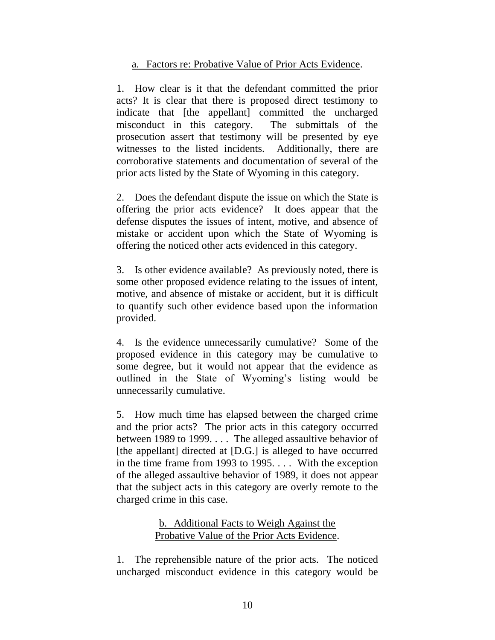#### a. Factors re: Probative Value of Prior Acts Evidence.

1. How clear is it that the defendant committed the prior acts? It is clear that there is proposed direct testimony to indicate that [the appellant] committed the uncharged misconduct in this category. The submittals of the prosecution assert that testimony will be presented by eye witnesses to the listed incidents. Additionally, there are corroborative statements and documentation of several of the prior acts listed by the State of Wyoming in this category.

2. Does the defendant dispute the issue on which the State is offering the prior acts evidence? It does appear that the defense disputes the issues of intent, motive, and absence of mistake or accident upon which the State of Wyoming is offering the noticed other acts evidenced in this category.

3. Is other evidence available? As previously noted, there is some other proposed evidence relating to the issues of intent, motive, and absence of mistake or accident, but it is difficult to quantify such other evidence based upon the information provided.

4. Is the evidence unnecessarily cumulative? Some of the proposed evidence in this category may be cumulative to some degree, but it would not appear that the evidence as outlined in the State of Wyoming"s listing would be unnecessarily cumulative.

5. How much time has elapsed between the charged crime and the prior acts? The prior acts in this category occurred between 1989 to 1999. . . . The alleged assaultive behavior of [the appellant] directed at [D.G.] is alleged to have occurred in the time frame from 1993 to 1995. . . . With the exception of the alleged assaultive behavior of 1989, it does not appear that the subject acts in this category are overly remote to the charged crime in this case.

### b. Additional Facts to Weigh Against the Probative Value of the Prior Acts Evidence.

1. The reprehensible nature of the prior acts. The noticed uncharged misconduct evidence in this category would be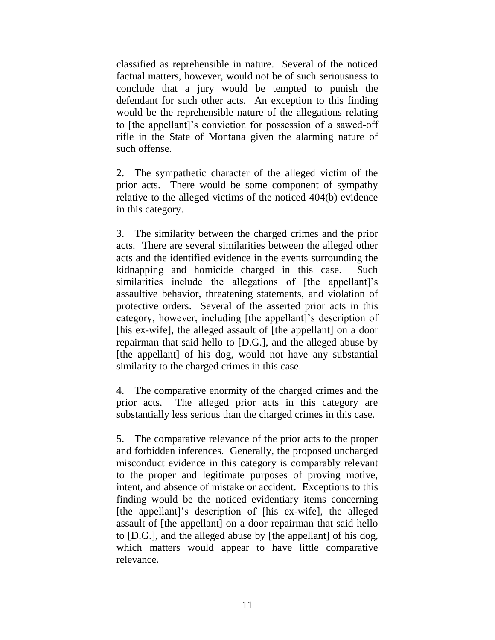classified as reprehensible in nature. Several of the noticed factual matters, however, would not be of such seriousness to conclude that a jury would be tempted to punish the defendant for such other acts. An exception to this finding would be the reprehensible nature of the allegations relating to [the appellant]"s conviction for possession of a sawed-off rifle in the State of Montana given the alarming nature of such offense.

2. The sympathetic character of the alleged victim of the prior acts. There would be some component of sympathy relative to the alleged victims of the noticed 404(b) evidence in this category.

3. The similarity between the charged crimes and the prior acts. There are several similarities between the alleged other acts and the identified evidence in the events surrounding the kidnapping and homicide charged in this case. Such similarities include the allegations of [the appellant]'s assaultive behavior, threatening statements, and violation of protective orders. Several of the asserted prior acts in this category, however, including [the appellant]"s description of [his ex-wife], the alleged assault of [the appellant] on a door repairman that said hello to [D.G.], and the alleged abuse by [the appellant] of his dog, would not have any substantial similarity to the charged crimes in this case.

4. The comparative enormity of the charged crimes and the prior acts. The alleged prior acts in this category are substantially less serious than the charged crimes in this case.

5. The comparative relevance of the prior acts to the proper and forbidden inferences. Generally, the proposed uncharged misconduct evidence in this category is comparably relevant to the proper and legitimate purposes of proving motive, intent, and absence of mistake or accident. Exceptions to this finding would be the noticed evidentiary items concerning [the appellant]"s description of [his ex-wife], the alleged assault of [the appellant] on a door repairman that said hello to [D.G.], and the alleged abuse by [the appellant] of his dog, which matters would appear to have little comparative relevance.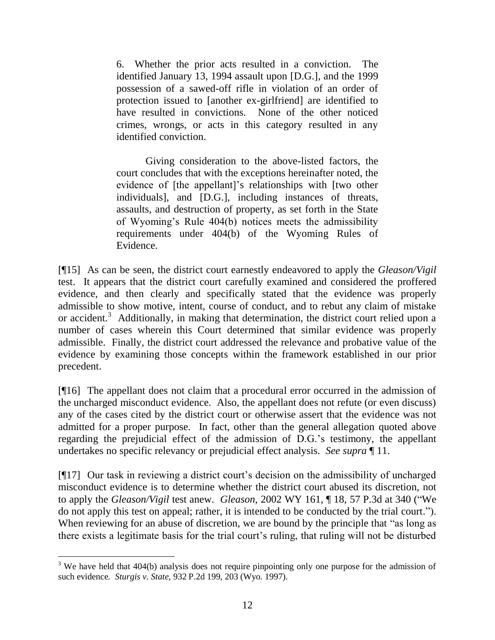6. Whether the prior acts resulted in a conviction. The identified January 13, 1994 assault upon [D.G.], and the 1999 possession of a sawed-off rifle in violation of an order of protection issued to [another ex-girlfriend] are identified to have resulted in convictions. None of the other noticed crimes, wrongs, or acts in this category resulted in any identified conviction.

Giving consideration to the above-listed factors, the court concludes that with the exceptions hereinafter noted, the evidence of [the appellant]"s relationships with [two other individuals], and [D.G.], including instances of threats, assaults, and destruction of property, as set forth in the State of Wyoming"s Rule 404(b) notices meets the admissibility requirements under 404(b) of the Wyoming Rules of Evidence.

[¶15] As can be seen, the district court earnestly endeavored to apply the *Gleason/Vigil*  test. It appears that the district court carefully examined and considered the proffered evidence, and then clearly and specifically stated that the evidence was properly admissible to show motive, intent, course of conduct, and to rebut any claim of mistake or accident.<sup>3</sup> Additionally, in making that determination, the district court relied upon a number of cases wherein this Court determined that similar evidence was properly admissible. Finally, the district court addressed the relevance and probative value of the evidence by examining those concepts within the framework established in our prior precedent.

[¶16] The appellant does not claim that a procedural error occurred in the admission of the uncharged misconduct evidence. Also, the appellant does not refute (or even discuss) any of the cases cited by the district court or otherwise assert that the evidence was not admitted for a proper purpose. In fact, other than the general allegation quoted above regarding the prejudicial effect of the admission of D.G."s testimony, the appellant undertakes no specific relevancy or prejudicial effect analysis. *See supra* ¶ 11.

[¶17] Our task in reviewing a district court"s decision on the admissibility of uncharged misconduct evidence is to determine whether the district court abused its discretion, not to apply the *Gleason/Vigil* test anew. *Gleason*, 2002 WY 161, ¶ 18, 57 P.3d at 340 ("We do not apply this test on appeal; rather, it is intended to be conducted by the trial court."). When reviewing for an abuse of discretion, we are bound by the principle that "as long as there exists a legitimate basis for the trial court"s ruling, that ruling will not be disturbed

 $3$  We have held that 404(b) analysis does not require pinpointing only one purpose for the admission of such evidence. *Sturgis v. State*, 932 P.2d 199, 203 (Wyo. 1997).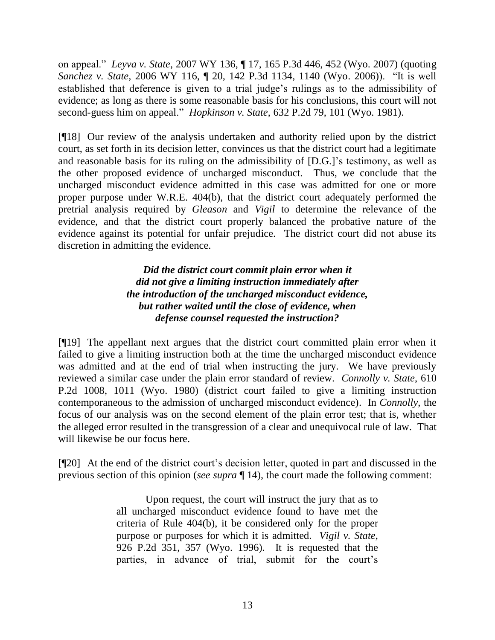on appeal." *Leyva v. State*, 2007 WY 136, ¶ 17, 165 P.3d 446, 452 (Wyo. 2007) (quoting *Sanchez v. State*, 2006 WY 116, ¶ 20, 142 P.3d 1134, 1140 (Wyo. 2006)). "It is well established that deference is given to a trial judge"s rulings as to the admissibility of evidence; as long as there is some reasonable basis for his conclusions, this court will not second-guess him on appeal." *Hopkinson v. State*, 632 P.2d 79, 101 (Wyo. 1981).

[¶18] Our review of the analysis undertaken and authority relied upon by the district court, as set forth in its decision letter, convinces us that the district court had a legitimate and reasonable basis for its ruling on the admissibility of [D.G.]"s testimony, as well as the other proposed evidence of uncharged misconduct. Thus, we conclude that the uncharged misconduct evidence admitted in this case was admitted for one or more proper purpose under W.R.E. 404(b), that the district court adequately performed the pretrial analysis required by *Gleason* and *Vigil* to determine the relevance of the evidence, and that the district court properly balanced the probative nature of the evidence against its potential for unfair prejudice. The district court did not abuse its discretion in admitting the evidence.

> *Did the district court commit plain error when it did not give a limiting instruction immediately after the introduction of the uncharged misconduct evidence, but rather waited until the close of evidence, when defense counsel requested the instruction?*

[¶19] The appellant next argues that the district court committed plain error when it failed to give a limiting instruction both at the time the uncharged misconduct evidence was admitted and at the end of trial when instructing the jury. We have previously reviewed a similar case under the plain error standard of review. *Connolly v. State*, 610 P.2d 1008, 1011 (Wyo. 1980) (district court failed to give a limiting instruction contemporaneous to the admission of uncharged misconduct evidence). In *Connolly*, the focus of our analysis was on the second element of the plain error test; that is, whether the alleged error resulted in the transgression of a clear and unequivocal rule of law. That will likewise be our focus here.

[¶20] At the end of the district court's decision letter, quoted in part and discussed in the previous section of this opinion (*see supra* ¶ 14), the court made the following comment:

> Upon request, the court will instruct the jury that as to all uncharged misconduct evidence found to have met the criteria of Rule 404(b), it be considered only for the proper purpose or purposes for which it is admitted. *Vigil v. State*, 926 P.2d 351, 357 (Wyo. 1996). It is requested that the parties, in advance of trial, submit for the court's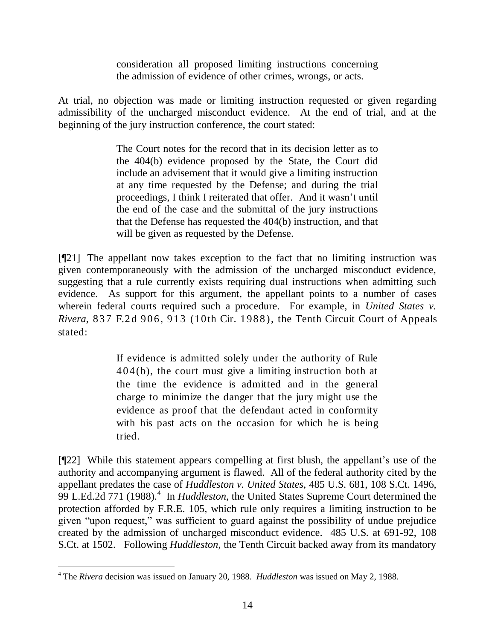consideration all proposed limiting instructions concerning the admission of evidence of other crimes, wrongs, or acts.

At trial, no objection was made or limiting instruction requested or given regarding admissibility of the uncharged misconduct evidence. At the end of trial, and at the beginning of the jury instruction conference, the court stated:

> The Court notes for the record that in its decision letter as to the 404(b) evidence proposed by the State, the Court did include an advisement that it would give a limiting instruction at any time requested by the Defense; and during the trial proceedings, I think I reiterated that offer. And it wasn"t until the end of the case and the submittal of the jury instructions that the Defense has requested the 404(b) instruction, and that will be given as requested by the Defense.

[¶21] The appellant now takes exception to the fact that no limiting instruction was given contemporaneously with the admission of the uncharged misconduct evidence, suggesting that a rule currently exists requiring dual instructions when admitting such evidence. As support for this argument, the appellant points to a number of cases wherein federal courts required such a procedure. For example, in *United States v. Rivera*, 837 F.2d 906, 913 (10th Cir. 1988), the Tenth Circuit Court of Appeals stated:

> If evidence is admitted solely under the authority of Rule  $404(b)$ , the court must give a limiting instruction both at the time the evidence is admitted and in the general charge to minimize the danger that the jury might use the evidence as proof that the defendant acted in conformity with his past acts on the occasion for which he is being tried.

[¶22] While this statement appears compelling at first blush, the appellant"s use of the authority and accompanying argument is flawed. All of the federal authority cited by the appellant predates the case of *Huddleston v. United States*, 485 U.S. 681, 108 S.Ct. 1496, 99 L.Ed.2d 771 (1988).<sup>4</sup> In *Huddleston*, the United States Supreme Court determined the protection afforded by F.R.E. 105, which rule only requires a limiting instruction to be given "upon request," was sufficient to guard against the possibility of undue prejudice created by the admission of uncharged misconduct evidence. 485 U.S. at 691-92, 108 S.Ct. at 1502. Following *Huddleston*, the Tenth Circuit backed away from its mandatory

 <sup>4</sup> The *Rivera* decision was issued on January 20, 1988. *Huddleston* was issued on May 2, 1988.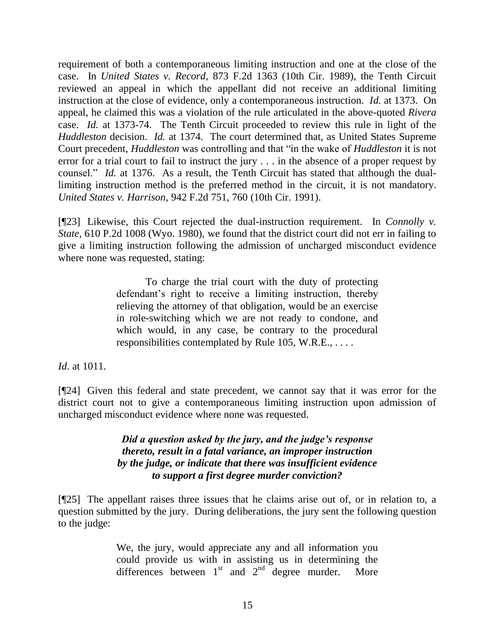requirement of both a contemporaneous limiting instruction and one at the close of the case. In *United States v. Record*, 873 F.2d 1363 (10th Cir. 1989), the Tenth Circuit reviewed an appeal in which the appellant did not receive an additional limiting instruction at the close of evidence, only a contemporaneous instruction. *Id.* at 1373. On appeal, he claimed this was a violation of the rule articulated in the above-quoted *Rivera*  case. *Id.* at 1373-74. The Tenth Circuit proceeded to review this rule in light of the *Huddleston* decision. *Id.* at 1374. The court determined that, as United States Supreme Court precedent, *Huddleston* was controlling and that "in the wake of *Huddleston* it is not error for a trial court to fail to instruct the jury . . . in the absence of a proper request by counsel." *Id.* at 1376. As a result, the Tenth Circuit has stated that although the duallimiting instruction method is the preferred method in the circuit, it is not mandatory. *United States v. Harrison*, 942 F.2d 751, 760 (10th Cir. 1991).

[¶23] Likewise, this Court rejected the dual-instruction requirement. In *Connolly v. State*, 610 P.2d 1008 (Wyo. 1980), we found that the district court did not err in failing to give a limiting instruction following the admission of uncharged misconduct evidence where none was requested, stating:

> To charge the trial court with the duty of protecting defendant's right to receive a limiting instruction, thereby relieving the attorney of that obligation, would be an exercise in role-switching which we are not ready to condone, and which would, in any case, be contrary to the procedural responsibilities contemplated by Rule 105, W.R.E., . . . .

*Id*. at 1011.

[¶24] Given this federal and state precedent, we cannot say that it was error for the district court not to give a contemporaneous limiting instruction upon admission of uncharged misconduct evidence where none was requested.

> *Did a question asked by the jury, and the judge's response thereto, result in a fatal variance, an improper instruction by the judge, or indicate that there was insufficient evidence to support a first degree murder conviction?*

[¶25] The appellant raises three issues that he claims arise out of, or in relation to, a question submitted by the jury. During deliberations, the jury sent the following question to the judge:

> We, the jury, would appreciate any and all information you could provide us with in assisting us in determining the differences between  $1<sup>st</sup>$  and  $2<sup>nd</sup>$  degree murder. More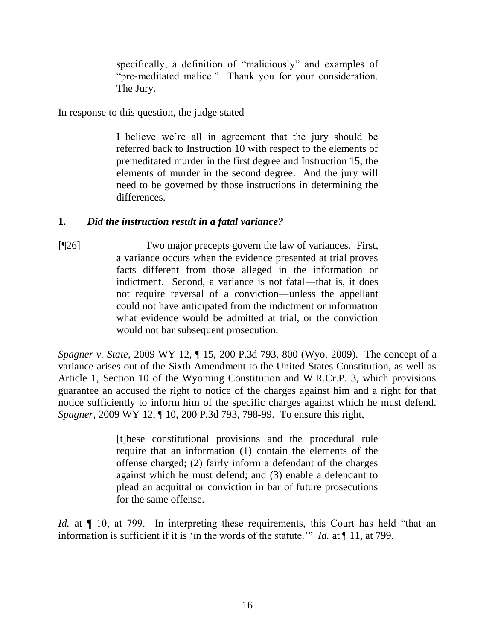specifically, a definition of "maliciously" and examples of "pre-meditated malice." Thank you for your consideration. The Jury.

In response to this question, the judge stated

I believe we"re all in agreement that the jury should be referred back to Instruction 10 with respect to the elements of premeditated murder in the first degree and Instruction 15, the elements of murder in the second degree. And the jury will need to be governed by those instructions in determining the differences.

### **1.** *Did the instruction result in a fatal variance?*

[¶26] Two major precepts govern the law of variances. First, a variance occurs when the evidence presented at trial proves facts different from those alleged in the information or indictment. Second, a variance is not fatal—that is, it does not require reversal of a conviction―unless the appellant could not have anticipated from the indictment or information what evidence would be admitted at trial, or the conviction would not bar subsequent prosecution.

*Spagner v. State*, 2009 WY 12, ¶ 15, 200 P.3d 793, 800 (Wyo. 2009). The concept of a variance arises out of the Sixth Amendment to the United States Constitution, as well as Article 1, Section 10 of the Wyoming Constitution and W.R.Cr.P. 3, which provisions guarantee an accused the right to notice of the charges against him and a right for that notice sufficiently to inform him of the specific charges against which he must defend. *Spagner*, 2009 WY 12, ¶ 10, 200 P.3d 793, 798-99. To ensure this right,

> [t]hese constitutional provisions and the procedural rule require that an information (1) contain the elements of the offense charged; (2) fairly inform a defendant of the charges against which he must defend; and (3) enable a defendant to plead an acquittal or conviction in bar of future prosecutions for the same offense.

*Id.* at  $\P$  10, at 799. In interpreting these requirements, this Court has held "that an information is sufficient if it is "in the words of the statute."" *Id.* at ¶ 11, at 799.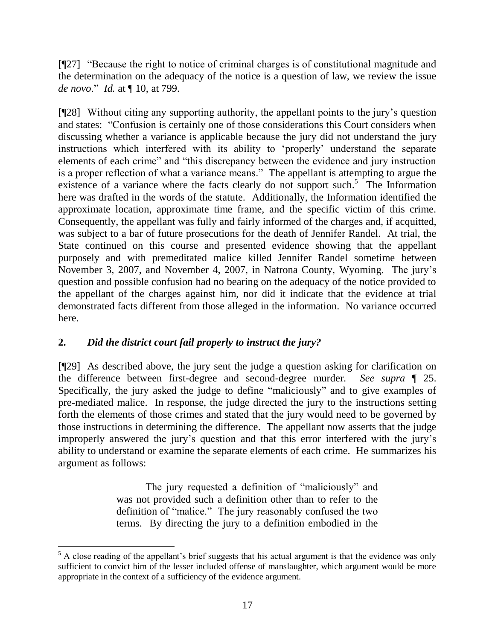[¶27] "Because the right to notice of criminal charges is of constitutional magnitude and the determination on the adequacy of the notice is a question of law, we review the issue *de novo*." *Id.* at ¶ 10, at 799.

[¶28] Without citing any supporting authority, the appellant points to the jury"s question and states: "Confusion is certainly one of those considerations this Court considers when discussing whether a variance is applicable because the jury did not understand the jury instructions which interfered with its ability to "properly" understand the separate elements of each crime" and "this discrepancy between the evidence and jury instruction is a proper reflection of what a variance means." The appellant is attempting to argue the existence of a variance where the facts clearly do not support such.<sup>5</sup> The Information here was drafted in the words of the statute. Additionally, the Information identified the approximate location, approximate time frame, and the specific victim of this crime. Consequently, the appellant was fully and fairly informed of the charges and, if acquitted, was subject to a bar of future prosecutions for the death of Jennifer Randel. At trial, the State continued on this course and presented evidence showing that the appellant purposely and with premeditated malice killed Jennifer Randel sometime between November 3, 2007, and November 4, 2007, in Natrona County, Wyoming. The jury"s question and possible confusion had no bearing on the adequacy of the notice provided to the appellant of the charges against him, nor did it indicate that the evidence at trial demonstrated facts different from those alleged in the information. No variance occurred here.

# **2.** *Did the district court fail properly to instruct the jury?*

 $\overline{a}$ 

[¶29] As described above, the jury sent the judge a question asking for clarification on the difference between first-degree and second-degree murder. *See supra* ¶ 25. Specifically, the jury asked the judge to define "maliciously" and to give examples of pre-mediated malice. In response, the judge directed the jury to the instructions setting forth the elements of those crimes and stated that the jury would need to be governed by those instructions in determining the difference. The appellant now asserts that the judge improperly answered the jury"s question and that this error interfered with the jury"s ability to understand or examine the separate elements of each crime. He summarizes his argument as follows:

> The jury requested a definition of "maliciously" and was not provided such a definition other than to refer to the definition of "malice." The jury reasonably confused the two terms. By directing the jury to a definition embodied in the

 $5$  A close reading of the appellant's brief suggests that his actual argument is that the evidence was only sufficient to convict him of the lesser included offense of manslaughter, which argument would be more appropriate in the context of a sufficiency of the evidence argument.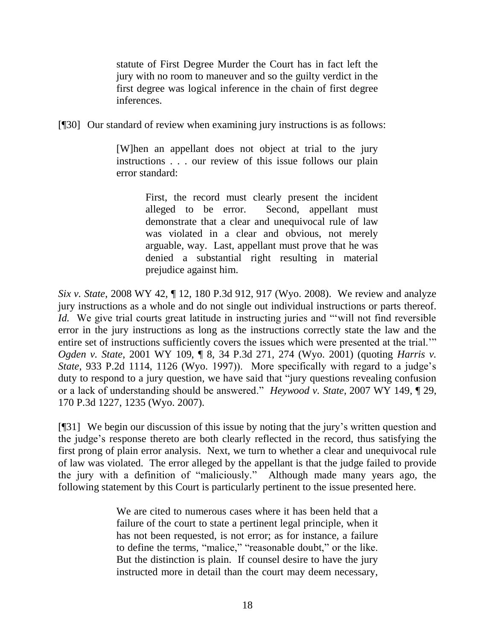statute of First Degree Murder the Court has in fact left the jury with no room to maneuver and so the guilty verdict in the first degree was logical inference in the chain of first degree inferences.

[¶30] Our standard of review when examining jury instructions is as follows:

[W]hen an appellant does not object at trial to the jury instructions . . . our review of this issue follows our plain error standard:

> First, the record must clearly present the incident alleged to be error. Second, appellant must demonstrate that a clear and unequivocal rule of law was violated in a clear and obvious, not merely arguable, way. Last, appellant must prove that he was denied a substantial right resulting in material prejudice against him.

*Six v. State*, 2008 WY 42, ¶ 12, 180 P.3d 912, 917 (Wyo. 2008). We review and analyze jury instructions as a whole and do not single out individual instructions or parts thereof. *Id.* We give trial courts great latitude in instructing juries and ""will not find reversible error in the jury instructions as long as the instructions correctly state the law and the entire set of instructions sufficiently covers the issues which were presented at the trial."" *Ogden v. State*, 2001 WY 109, ¶ 8, 34 P.3d 271, 274 (Wyo. 2001) (quoting *Harris v. State*, 933 P.2d 1114, 1126 (Wyo. 1997)). More specifically with regard to a judge's duty to respond to a jury question, we have said that "jury questions revealing confusion or a lack of understanding should be answered." *Heywood v. State*, 2007 WY 149, ¶ 29, 170 P.3d 1227, 1235 (Wyo. 2007).

[¶31] We begin our discussion of this issue by noting that the jury"s written question and the judge"s response thereto are both clearly reflected in the record, thus satisfying the first prong of plain error analysis. Next, we turn to whether a clear and unequivocal rule of law was violated. The error alleged by the appellant is that the judge failed to provide the jury with a definition of "maliciously." Although made many years ago, the following statement by this Court is particularly pertinent to the issue presented here.

> We are cited to numerous cases where it has been held that a failure of the court to state a pertinent legal principle, when it has not been requested, is not error; as for instance, a failure to define the terms, "malice," "reasonable doubt," or the like. But the distinction is plain. If counsel desire to have the jury instructed more in detail than the court may deem necessary,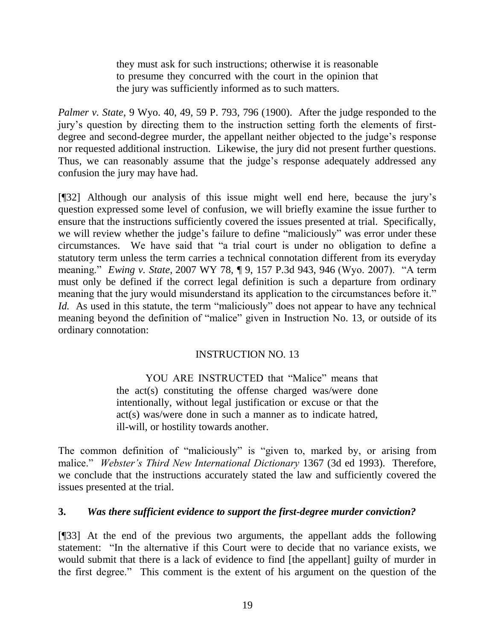they must ask for such instructions; otherwise it is reasonable to presume they concurred with the court in the opinion that the jury was sufficiently informed as to such matters.

*Palmer v. State*, 9 Wyo. 40, 49, 59 P. 793, 796 (1900). After the judge responded to the jury"s question by directing them to the instruction setting forth the elements of firstdegree and second-degree murder, the appellant neither objected to the judge's response nor requested additional instruction. Likewise, the jury did not present further questions. Thus, we can reasonably assume that the judge's response adequately addressed any confusion the jury may have had.

[¶32] Although our analysis of this issue might well end here, because the jury"s question expressed some level of confusion, we will briefly examine the issue further to ensure that the instructions sufficiently covered the issues presented at trial. Specifically, we will review whether the judge's failure to define "maliciously" was error under these circumstances. We have said that "a trial court is under no obligation to define a statutory term unless the term carries a technical connotation different from its everyday meaning." *Ewing v. State*, 2007 WY 78, ¶ 9, 157 P.3d 943, 946 (Wyo. 2007). "A term must only be defined if the correct legal definition is such a departure from ordinary meaning that the jury would misunderstand its application to the circumstances before it." *Id.* As used in this statute, the term "maliciously" does not appear to have any technical meaning beyond the definition of "malice" given in Instruction No. 13, or outside of its ordinary connotation:

### INSTRUCTION NO. 13

YOU ARE INSTRUCTED that "Malice" means that the act(s) constituting the offense charged was/were done intentionally, without legal justification or excuse or that the act(s) was/were done in such a manner as to indicate hatred, ill-will, or hostility towards another.

The common definition of "maliciously" is "given to, marked by, or arising from malice." *Webster's Third New International Dictionary* 1367 (3d ed 1993). Therefore, we conclude that the instructions accurately stated the law and sufficiently covered the issues presented at the trial.

### **3.** *Was there sufficient evidence to support the first-degree murder conviction?*

[¶33] At the end of the previous two arguments, the appellant adds the following statement: "In the alternative if this Court were to decide that no variance exists, we would submit that there is a lack of evidence to find [the appellant] guilty of murder in the first degree." This comment is the extent of his argument on the question of the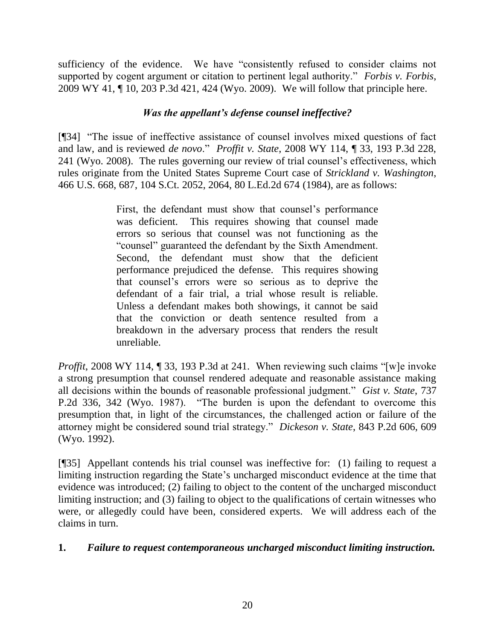sufficiency of the evidence. We have "consistently refused to consider claims not supported by cogent argument or citation to pertinent legal authority." *Forbis v. Forbis*, 2009 WY 41, ¶ 10, 203 P.3d 421, 424 (Wyo. 2009). We will follow that principle here.

### *Was the appellant's defense counsel ineffective?*

[¶34] "The issue of ineffective assistance of counsel involves mixed questions of fact and law, and is reviewed *de novo*." *Proffit v. State*, 2008 WY 114, ¶ 33, 193 P.3d 228, 241 (Wyo. 2008).The rules governing our review of trial counsel"s effectiveness, which rules originate from the United States Supreme Court case of *Strickland v. Washington*, 466 U.S. 668, 687, 104 S.Ct. 2052, 2064, 80 L.Ed.2d 674 (1984), are as follows:

> First, the defendant must show that counsel's performance was deficient. This requires showing that counsel made errors so serious that counsel was not functioning as the "counsel" guaranteed the defendant by the Sixth Amendment. Second, the defendant must show that the deficient performance prejudiced the defense. This requires showing that counsel"s errors were so serious as to deprive the defendant of a fair trial, a trial whose result is reliable. Unless a defendant makes both showings, it cannot be said that the conviction or death sentence resulted from a breakdown in the adversary process that renders the result unreliable.

*Proffit*, 2008 WY 114, 1 33, 193 P.3d at 241. When reviewing such claims "[w]e invoke a strong presumption that counsel rendered adequate and reasonable assistance making all decisions within the bounds of reasonable professional judgment." *Gist v. State*, 737 P.2d 336, 342 (Wyo. 1987). "The burden is upon the defendant to overcome this presumption that, in light of the circumstances, the challenged action or failure of the attorney might be considered sound trial strategy." *Dickeson v. State*, 843 P.2d 606, 609 (Wyo. 1992).

[¶35] Appellant contends his trial counsel was ineffective for: (1) failing to request a limiting instruction regarding the State"s uncharged misconduct evidence at the time that evidence was introduced; (2) failing to object to the content of the uncharged misconduct limiting instruction; and (3) failing to object to the qualifications of certain witnesses who were, or allegedly could have been, considered experts. We will address each of the claims in turn.

### **1.** *Failure to request contemporaneous uncharged misconduct limiting instruction.*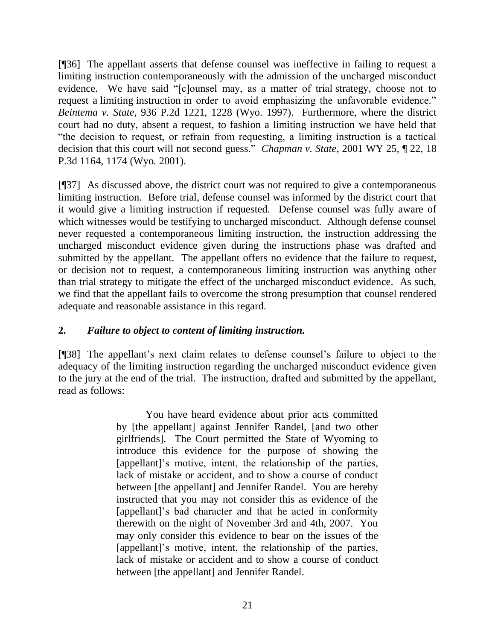[¶36] The appellant asserts that defense counsel was ineffective in failing to request a limiting instruction contemporaneously with the admission of the uncharged misconduct evidence. We have said "[c]ounsel may, as a matter of trial strategy, choose not to request a limiting instruction in order to avoid emphasizing the unfavorable evidence." *Beintema v. State*, 936 P.2d 1221, 1228 (Wyo. 1997). Furthermore, where the district court had no duty, absent a request, to fashion a limiting instruction we have held that "the decision to request, or refrain from requesting, a limiting instruction is a tactical decision that this court will not second guess." *Chapman v. State*, 2001 WY 25, ¶ 22, 18 P.3d 1164, 1174 (Wyo. 2001).

[¶37] As discussed above, the district court was not required to give a contemporaneous limiting instruction. Before trial, defense counsel was informed by the district court that it would give a limiting instruction if requested. Defense counsel was fully aware of which witnesses would be testifying to uncharged misconduct. Although defense counsel never requested a contemporaneous limiting instruction, the instruction addressing the uncharged misconduct evidence given during the instructions phase was drafted and submitted by the appellant. The appellant offers no evidence that the failure to request, or decision not to request, a contemporaneous limiting instruction was anything other than trial strategy to mitigate the effect of the uncharged misconduct evidence. As such, we find that the appellant fails to overcome the strong presumption that counsel rendered adequate and reasonable assistance in this regard.

### **2.** *Failure to object to content of limiting instruction.*

[¶38] The appellant"s next claim relates to defense counsel"s failure to object to the adequacy of the limiting instruction regarding the uncharged misconduct evidence given to the jury at the end of the trial. The instruction, drafted and submitted by the appellant, read as follows:

> You have heard evidence about prior acts committed by [the appellant] against Jennifer Randel, [and two other girlfriends]. The Court permitted the State of Wyoming to introduce this evidence for the purpose of showing the [appellant]'s motive, intent, the relationship of the parties, lack of mistake or accident, and to show a course of conduct between [the appellant] and Jennifer Randel. You are hereby instructed that you may not consider this as evidence of the [appellant]"s bad character and that he acted in conformity therewith on the night of November 3rd and 4th, 2007. You may only consider this evidence to bear on the issues of the [appellant]'s motive, intent, the relationship of the parties, lack of mistake or accident and to show a course of conduct between [the appellant] and Jennifer Randel.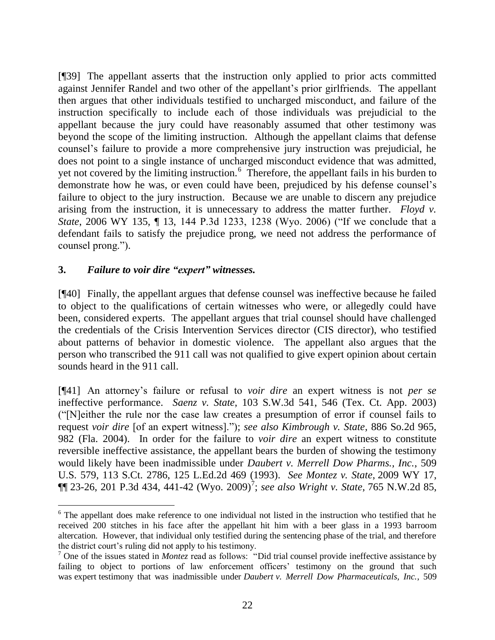[¶39] The appellant asserts that the instruction only applied to prior acts committed against Jennifer Randel and two other of the appellant"s prior girlfriends. The appellant then argues that other individuals testified to uncharged misconduct, and failure of the instruction specifically to include each of those individuals was prejudicial to the appellant because the jury could have reasonably assumed that other testimony was beyond the scope of the limiting instruction. Although the appellant claims that defense counsel"s failure to provide a more comprehensive jury instruction was prejudicial, he does not point to a single instance of uncharged misconduct evidence that was admitted, yet not covered by the limiting instruction.<sup>6</sup> Therefore, the appellant fails in his burden to demonstrate how he was, or even could have been, prejudiced by his defense counsel"s failure to object to the jury instruction. Because we are unable to discern any prejudice arising from the instruction, it is unnecessary to address the matter further. *Floyd v. State*, 2006 WY 135, ¶ 13, 144 P.3d 1233, 1238 (Wyo. 2006) ("If we conclude that a defendant fails to satisfy the prejudice prong, we need not address the performance of counsel prong.").

### **3.** *Failure to voir dire "expert" witnesses.*

 $\overline{a}$ 

[¶40] Finally, the appellant argues that defense counsel was ineffective because he failed to object to the qualifications of certain witnesses who were, or allegedly could have been, considered experts. The appellant argues that trial counsel should have challenged the credentials of the Crisis Intervention Services director (CIS director), who testified about patterns of behavior in domestic violence. The appellant also argues that the person who transcribed the 911 call was not qualified to give expert opinion about certain sounds heard in the 911 call.

[¶41] An attorney"s failure or refusal to *voir dire* an expert witness is not *per se* ineffective performance. *Saenz v. State*, 103 S.W.3d 541, 546 (Tex. Ct. App. 2003) ("[N]either the rule nor the case law creates a presumption of error if counsel fails to request *voir dire* [of an expert witness]."); *see also Kimbrough v. State*, 886 So.2d 965, 982 (Fla. 2004). In order for the failure to *voir dire* an expert witness to constitute reversible ineffective assistance, the appellant bears the burden of showing the testimony would likely have been inadmissible under *Daubert v. Merrell Dow Pharms., Inc.*, 509 U.S. 579, 113 S.Ct. 2786, 125 L.Ed.2d 469 (1993). *See Montez v. State*, 2009 WY 17,  $\P\P$  23-26, 201 P.3d 434, 441-42 (Wyo. 2009)<sup>7</sup>; see also Wright v. State, 765 N.W.2d 85,

<sup>&</sup>lt;sup>6</sup> The appellant does make reference to one individual not listed in the instruction who testified that he received 200 stitches in his face after the appellant hit him with a beer glass in a 1993 barroom altercation. However, that individual only testified during the sentencing phase of the trial, and therefore the district court"s ruling did not apply to his testimony.

<sup>7</sup> One of the issues stated in *Montez* read as follows: "Did trial counsel provide ineffective assistance by failing to object to portions of law enforcement officers' testimony on the ground that such was expert testimony that was inadmissible under *Daubert v. Merrell Dow Pharmaceuticals, Inc.*, 509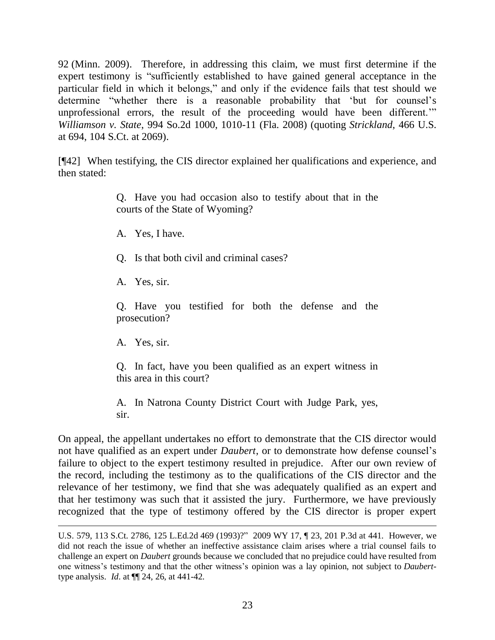92 (Minn. 2009). Therefore, in addressing this claim, we must first determine if the expert testimony is "sufficiently established to have gained general acceptance in the particular field in which it belongs," and only if the evidence fails that test should we determine "whether there is a reasonable probability that "but for counsel"s unprofessional errors, the result of the proceeding would have been different."" *Williamson v. State*, 994 So.2d 1000, 1010-11 (Fla. 2008) (quoting *Strickland*, 466 U.S. at 694, 104 S.Ct. at 2069).

[¶42] When testifying, the CIS director explained her qualifications and experience, and then stated:

> Q. Have you had occasion also to testify about that in the courts of the State of Wyoming?

A. Yes, I have.

Q. Is that both civil and criminal cases?

A. Yes, sir.

Q. Have you testified for both the defense and the prosecution?

A. Yes, sir.

 $\overline{a}$ 

Q. In fact, have you been qualified as an expert witness in this area in this court?

A. In Natrona County District Court with Judge Park, yes, sir.

On appeal, the appellant undertakes no effort to demonstrate that the CIS director would not have qualified as an expert under *Daubert*, or to demonstrate how defense counsel"s failure to object to the expert testimony resulted in prejudice. After our own review of the record, including the testimony as to the qualifications of the CIS director and the relevance of her testimony, we find that she was adequately qualified as an expert and that her testimony was such that it assisted the jury. Furthermore, we have previously recognized that the type of testimony offered by the CIS director is proper expert

U.S. 579, 113 S.Ct. 2786, 125 L.Ed.2d 469 (1993)?" 2009 WY 17, ¶ 23, 201 P.3d at 441. However, we did not reach the issue of whether an ineffective assistance claim arises where a trial counsel fails to challenge an expert on *Daubert* grounds because we concluded that no prejudice could have resulted from one witness"s testimony and that the other witness"s opinion was a lay opinion, not subject to *Daubert*type analysis. *Id*. at ¶¶ 24, 26, at 441-42.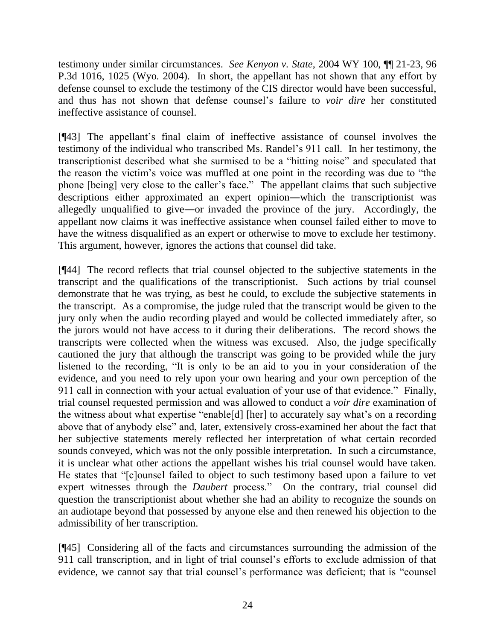testimony under similar circumstances. *See Kenyon v. State*, 2004 WY 100, ¶¶ 21-23, 96 P.3d 1016, 1025 (Wyo. 2004). In short, the appellant has not shown that any effort by defense counsel to exclude the testimony of the CIS director would have been successful, and thus has not shown that defense counsel"s failure to *voir dire* her constituted ineffective assistance of counsel.

[¶43] The appellant"s final claim of ineffective assistance of counsel involves the testimony of the individual who transcribed Ms. Randel"s 911 call. In her testimony, the transcriptionist described what she surmised to be a "hitting noise" and speculated that the reason the victim"s voice was muffled at one point in the recording was due to "the phone [being] very close to the caller"s face." The appellant claims that such subjective descriptions either approximated an expert opinion―which the transcriptionist was allegedly unqualified to give―or invaded the province of the jury. Accordingly, the appellant now claims it was ineffective assistance when counsel failed either to move to have the witness disqualified as an expert or otherwise to move to exclude her testimony. This argument, however, ignores the actions that counsel did take.

[¶44] The record reflects that trial counsel objected to the subjective statements in the transcript and the qualifications of the transcriptionist. Such actions by trial counsel demonstrate that he was trying, as best he could, to exclude the subjective statements in the transcript. As a compromise, the judge ruled that the transcript would be given to the jury only when the audio recording played and would be collected immediately after, so the jurors would not have access to it during their deliberations. The record shows the transcripts were collected when the witness was excused. Also, the judge specifically cautioned the jury that although the transcript was going to be provided while the jury listened to the recording, "It is only to be an aid to you in your consideration of the evidence, and you need to rely upon your own hearing and your own perception of the 911 call in connection with your actual evaluation of your use of that evidence." Finally, trial counsel requested permission and was allowed to conduct a *voir dire* examination of the witness about what expertise "enable<sup>[d]</sup> [her] to accurately say what's on a recording above that of anybody else" and, later, extensively cross-examined her about the fact that her subjective statements merely reflected her interpretation of what certain recorded sounds conveyed, which was not the only possible interpretation. In such a circumstance, it is unclear what other actions the appellant wishes his trial counsel would have taken. He states that "[c]ounsel failed to object to such testimony based upon a failure to vet expert witnesses through the *Daubert* process." On the contrary, trial counsel did question the transcriptionist about whether she had an ability to recognize the sounds on an audiotape beyond that possessed by anyone else and then renewed his objection to the admissibility of her transcription.

[¶45] Considering all of the facts and circumstances surrounding the admission of the 911 call transcription, and in light of trial counsel"s efforts to exclude admission of that evidence, we cannot say that trial counsel"s performance was deficient; that is "counsel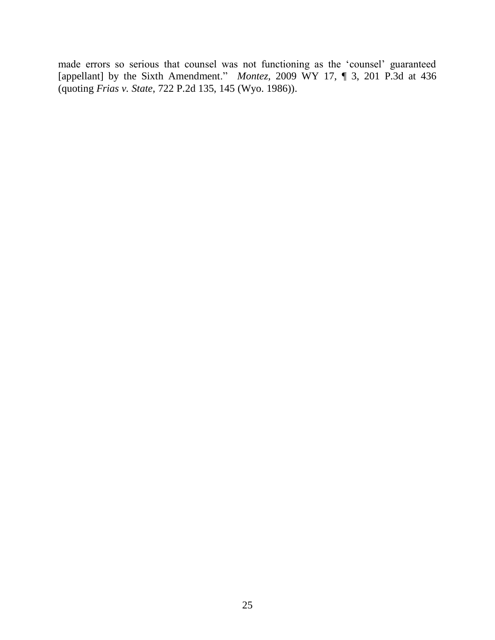made errors so serious that counsel was not functioning as the "counsel" guaranteed [appellant] by the Sixth Amendment." *Montez*, 2009 WY 17, ¶ 3, 201 P.3d at 436 (quoting *Frias v. State*, 722 P.2d 135, 145 (Wyo. 1986)).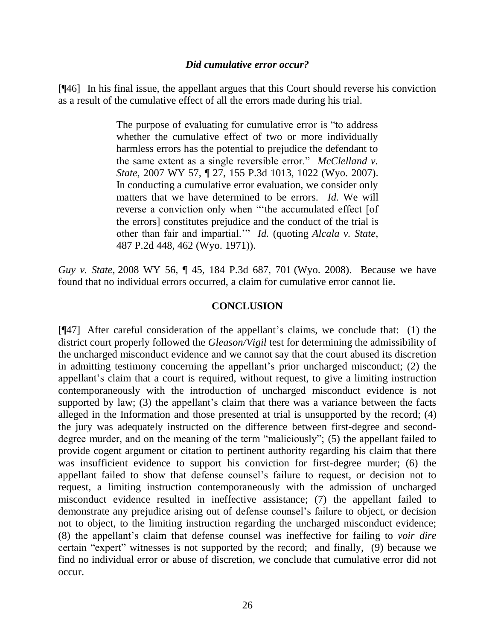#### *Did cumulative error occur?*

[¶46] In his final issue, the appellant argues that this Court should reverse his conviction as a result of the cumulative effect of all the errors made during his trial.

> The purpose of evaluating for cumulative error is "to address whether the cumulative effect of two or more individually harmless errors has the potential to prejudice the defendant to the same extent as a single reversible error." *McClelland v. State*, 2007 WY 57, ¶ 27, 155 P.3d 1013, 1022 (Wyo. 2007). In conducting a cumulative error evaluation, we consider only matters that we have determined to be errors. *Id.* We will reverse a conviction only when ""the accumulated effect [of the errors] constitutes prejudice and the conduct of the trial is other than fair and impartial."" *Id.* (quoting *Alcala v. State*, 487 P.2d 448, 462 (Wyo. 1971)).

*Guy v. State*, 2008 WY 56, ¶ 45, 184 P.3d 687, 701 (Wyo. 2008). Because we have found that no individual errors occurred, a claim for cumulative error cannot lie.

#### **CONCLUSION**

[¶47] After careful consideration of the appellant"s claims, we conclude that: (1) the district court properly followed the *Gleason/Vigil* test for determining the admissibility of the uncharged misconduct evidence and we cannot say that the court abused its discretion in admitting testimony concerning the appellant's prior uncharged misconduct; (2) the appellant's claim that a court is required, without request, to give a limiting instruction contemporaneously with the introduction of uncharged misconduct evidence is not supported by law; (3) the appellant's claim that there was a variance between the facts alleged in the Information and those presented at trial is unsupported by the record; (4) the jury was adequately instructed on the difference between first-degree and seconddegree murder, and on the meaning of the term "maliciously"; (5) the appellant failed to provide cogent argument or citation to pertinent authority regarding his claim that there was insufficient evidence to support his conviction for first-degree murder; (6) the appellant failed to show that defense counsel"s failure to request, or decision not to request, a limiting instruction contemporaneously with the admission of uncharged misconduct evidence resulted in ineffective assistance; (7) the appellant failed to demonstrate any prejudice arising out of defense counsel"s failure to object, or decision not to object, to the limiting instruction regarding the uncharged misconduct evidence; (8) the appellant"s claim that defense counsel was ineffective for failing to *voir dire* certain "expert" witnesses is not supported by the record; and finally, (9) because we find no individual error or abuse of discretion, we conclude that cumulative error did not occur.